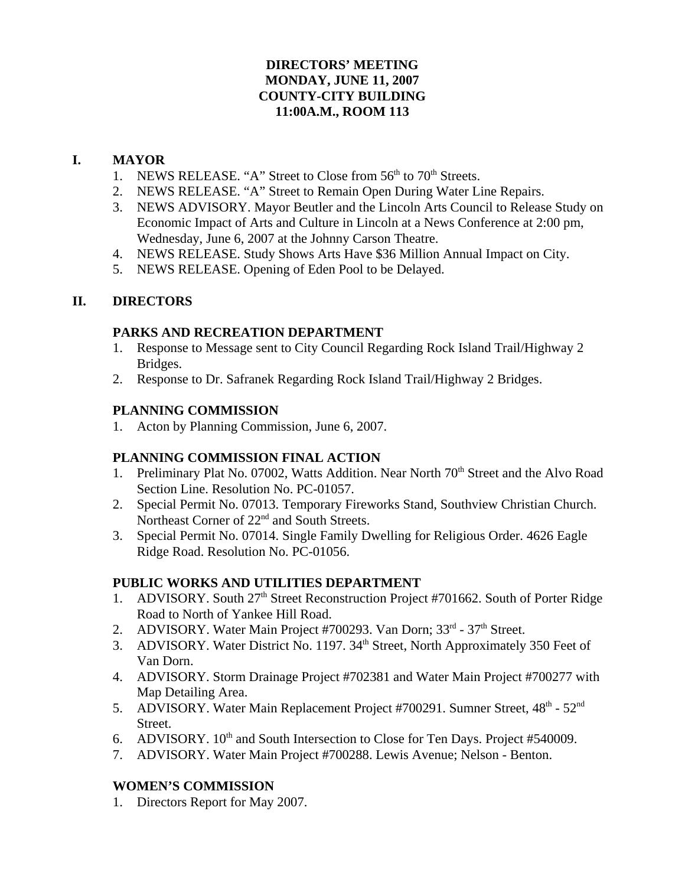## **DIRECTORS' MEETING MONDAY, JUNE 11, 2007 COUNTY-CITY BUILDING 11:00A.M., ROOM 113**

## **I. MAYOR**

- 1. NEWS RELEASE. "A" Street to Close from  $56<sup>th</sup>$  to  $70<sup>th</sup>$  Streets.
- 2. NEWS RELEASE. "A" Street to Remain Open During Water Line Repairs.
- 3. NEWS ADVISORY. Mayor Beutler and the Lincoln Arts Council to Release Study on Economic Impact of Arts and Culture in Lincoln at a News Conference at 2:00 pm, Wednesday, June 6, 2007 at the Johnny Carson Theatre.
- 4. NEWS RELEASE. Study Shows Arts Have \$36 Million Annual Impact on City.
- 5. NEWS RELEASE. Opening of Eden Pool to be Delayed.

# **II. DIRECTORS**

## **PARKS AND RECREATION DEPARTMENT**

- 1. Response to Message sent to City Council Regarding Rock Island Trail/Highway 2 Bridges.
- 2. Response to Dr. Safranek Regarding Rock Island Trail/Highway 2 Bridges.

## **PLANNING COMMISSION**

1. Acton by Planning Commission, June 6, 2007.

# **PLANNING COMMISSION FINAL ACTION**

- 1. Preliminary Plat No. 07002, Watts Addition. Near North 70<sup>th</sup> Street and the Alvo Road Section Line. Resolution No. PC-01057.
- 2. Special Permit No. 07013. Temporary Fireworks Stand, Southview Christian Church. Northeast Corner of  $22<sup>nd</sup>$  and South Streets.
- 3. Special Permit No. 07014. Single Family Dwelling for Religious Order. 4626 Eagle Ridge Road. Resolution No. PC-01056.

# **PUBLIC WORKS AND UTILITIES DEPARTMENT**

- 1. ADVISORY. South 27<sup>th</sup> Street Reconstruction Project #701662. South of Porter Ridge Road to North of Yankee Hill Road.
- 2. ADVISORY. Water Main Project #700293. Van Dorn; 33<sup>rd</sup> 37<sup>th</sup> Street.
- 3. ADVISORY. Water District No. 1197. 34<sup>th</sup> Street, North Approximately 350 Feet of Van Dorn.
- 4. ADVISORY. Storm Drainage Project #702381 and Water Main Project #700277 with Map Detailing Area.
- 5. ADVISORY. Water Main Replacement Project #700291. Sumner Street, 48<sup>th</sup> 52<sup>nd</sup> Street.
- 6. ADVISORY.  $10<sup>th</sup>$  and South Intersection to Close for Ten Days. Project #540009.
- 7. ADVISORY. Water Main Project #700288. Lewis Avenue; Nelson Benton.

# **WOMEN'S COMMISSION**

1. Directors Report for May 2007.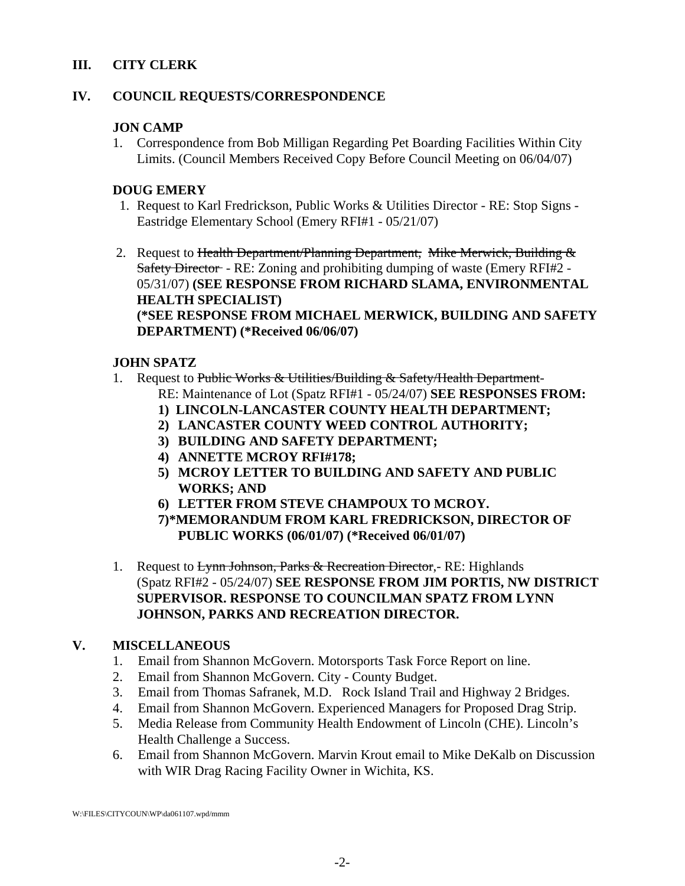## **III. CITY CLERK**

## **IV. COUNCIL REQUESTS/CORRESPONDENCE**

## **JON CAMP**

1. Correspondence from Bob Milligan Regarding Pet Boarding Facilities Within City Limits. (Council Members Received Copy Before Council Meeting on 06/04/07)

### **DOUG EMERY**

- 1. Request to Karl Fredrickson, Public Works & Utilities Director RE: Stop Signs Eastridge Elementary School (Emery RFI#1 - 05/21/07)
- 2. Request to Health Department/Planning Department, Mike Merwick, Building  $\&$ Safety Director - RE: Zoning and prohibiting dumping of waste (Emery RFI#2 - 05/31/07) **(SEE RESPONSE FROM RICHARD SLAMA, ENVIRONMENTAL HEALTH SPECIALIST) (\*SEE RESPONSE FROM MICHAEL MERWICK, BUILDING AND SAFETY DEPARTMENT) (\*Received 06/06/07)**

## **JOHN SPATZ**

- 1. Request to Public Works & Utilities/Building & Safety/Health Department-RE: Maintenance of Lot (Spatz RFI#1 - 05/24/07) **SEE RESPONSES FROM:**
	- **1) LINCOLN-LANCASTER COUNTY HEALTH DEPARTMENT;**
	- **2) LANCASTER COUNTY WEED CONTROL AUTHORITY;**
	- **3) BUILDING AND SAFETY DEPARTMENT;**
	- **4) ANNETTE MCROY RFI#178;**
	- **5) MCROY LETTER TO BUILDING AND SAFETY AND PUBLIC WORKS; AND**
	- **6) LETTER FROM STEVE CHAMPOUX TO MCROY.**
	- **7)\*MEMORANDUM FROM KARL FREDRICKSON, DIRECTOR OF PUBLIC WORKS (06/01/07) (\*Received 06/01/07)**
- 1. Request to Lynn Johnson, Parks & Recreation Director, RE: Highlands (Spatz RFI#2 - 05/24/07) **SEE RESPONSE FROM JIM PORTIS, NW DISTRICT SUPERVISOR. RESPONSE TO COUNCILMAN SPATZ FROM LYNN JOHNSON, PARKS AND RECREATION DIRECTOR.**

## **V. MISCELLANEOUS**

- 1. Email from Shannon McGovern. Motorsports Task Force Report on line.
- 2. Email from Shannon McGovern. City County Budget.
- 3. Email from Thomas Safranek, M.D. Rock Island Trail and Highway 2 Bridges.
- 4. Email from Shannon McGovern. Experienced Managers for Proposed Drag Strip.
- 5. Media Release from Community Health Endowment of Lincoln (CHE). Lincoln's Health Challenge a Success.
- 6. Email from Shannon McGovern. Marvin Krout email to Mike DeKalb on Discussion with WIR Drag Racing Facility Owner in Wichita, KS.

W:\FILES\CITYCOUN\WP\da061107.wpd/mmm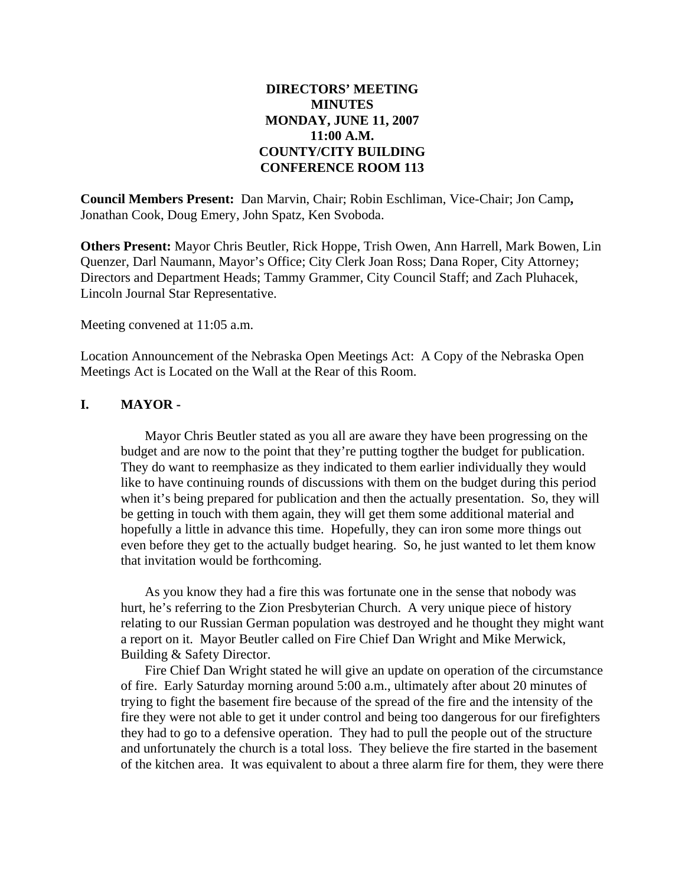### **DIRECTORS' MEETING MINUTES MONDAY, JUNE 11, 2007 11:00 A.M. COUNTY/CITY BUILDING CONFERENCE ROOM 113**

**Council Members Present:** Dan Marvin, Chair; Robin Eschliman, Vice-Chair; Jon Camp**,** Jonathan Cook, Doug Emery, John Spatz, Ken Svoboda.

**Others Present:** Mayor Chris Beutler, Rick Hoppe, Trish Owen, Ann Harrell, Mark Bowen, Lin Quenzer, Darl Naumann, Mayor's Office; City Clerk Joan Ross; Dana Roper, City Attorney; Directors and Department Heads; Tammy Grammer, City Council Staff; and Zach Pluhacek, Lincoln Journal Star Representative.

Meeting convened at 11:05 a.m.

Location Announcement of the Nebraska Open Meetings Act: A Copy of the Nebraska Open Meetings Act is Located on the Wall at the Rear of this Room.

### **I. MAYOR -**

Mayor Chris Beutler stated as you all are aware they have been progressing on the budget and are now to the point that they're putting togther the budget for publication. They do want to reemphasize as they indicated to them earlier individually they would like to have continuing rounds of discussions with them on the budget during this period when it's being prepared for publication and then the actually presentation. So, they will be getting in touch with them again, they will get them some additional material and hopefully a little in advance this time. Hopefully, they can iron some more things out even before they get to the actually budget hearing. So, he just wanted to let them know that invitation would be forthcoming.

As you know they had a fire this was fortunate one in the sense that nobody was hurt, he's referring to the Zion Presbyterian Church. A very unique piece of history relating to our Russian German population was destroyed and he thought they might want a report on it. Mayor Beutler called on Fire Chief Dan Wright and Mike Merwick, Building & Safety Director.

Fire Chief Dan Wright stated he will give an update on operation of the circumstance of fire. Early Saturday morning around 5:00 a.m., ultimately after about 20 minutes of trying to fight the basement fire because of the spread of the fire and the intensity of the fire they were not able to get it under control and being too dangerous for our firefighters they had to go to a defensive operation. They had to pull the people out of the structure and unfortunately the church is a total loss. They believe the fire started in the basement of the kitchen area. It was equivalent to about a three alarm fire for them, they were there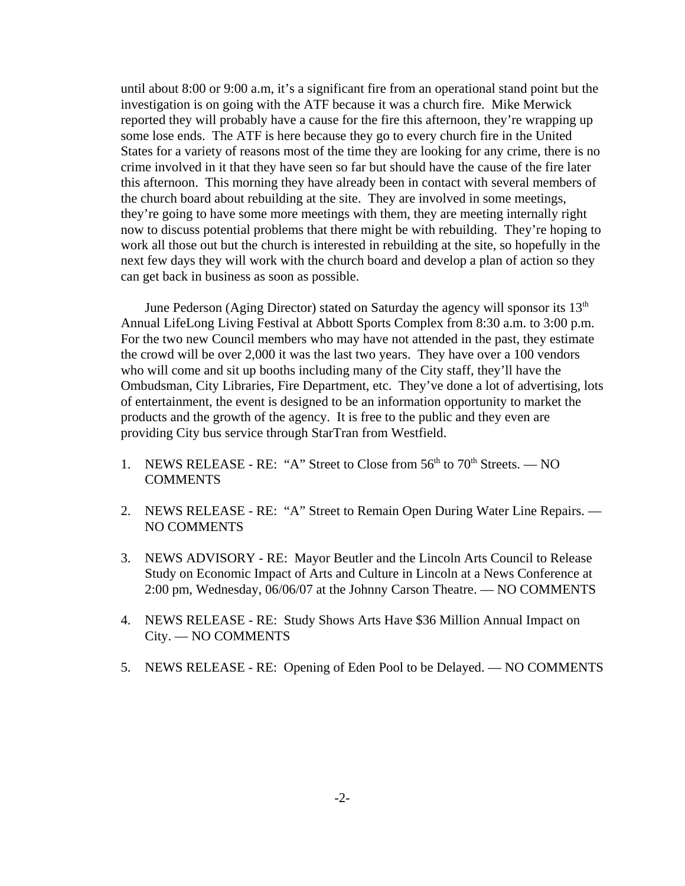until about 8:00 or 9:00 a.m, it's a significant fire from an operational stand point but the investigation is on going with the ATF because it was a church fire. Mike Merwick reported they will probably have a cause for the fire this afternoon, they're wrapping up some lose ends. The ATF is here because they go to every church fire in the United States for a variety of reasons most of the time they are looking for any crime, there is no crime involved in it that they have seen so far but should have the cause of the fire later this afternoon. This morning they have already been in contact with several members of the church board about rebuilding at the site. They are involved in some meetings, they're going to have some more meetings with them, they are meeting internally right now to discuss potential problems that there might be with rebuilding. They're hoping to work all those out but the church is interested in rebuilding at the site, so hopefully in the next few days they will work with the church board and develop a plan of action so they can get back in business as soon as possible.

June Pederson (Aging Director) stated on Saturday the agency will sponsor its  $13<sup>th</sup>$ Annual LifeLong Living Festival at Abbott Sports Complex from 8:30 a.m. to 3:00 p.m. For the two new Council members who may have not attended in the past, they estimate the crowd will be over 2,000 it was the last two years. They have over a 100 vendors who will come and sit up booths including many of the City staff, they'll have the Ombudsman, City Libraries, Fire Department, etc. They've done a lot of advertising, lots of entertainment, the event is designed to be an information opportunity to market the products and the growth of the agency. It is free to the public and they even are providing City bus service through StarTran from Westfield.

- 1. NEWS RELEASE RE: "A" Street to Close from  $56<sup>th</sup>$  to  $70<sup>th</sup>$  Streets. NO **COMMENTS**
- 2. NEWS RELEASE RE: "A" Street to Remain Open During Water Line Repairs. NO COMMENTS
- 3. NEWS ADVISORY RE: Mayor Beutler and the Lincoln Arts Council to Release Study on Economic Impact of Arts and Culture in Lincoln at a News Conference at 2:00 pm, Wednesday, 06/06/07 at the Johnny Carson Theatre. — NO COMMENTS
- 4. NEWS RELEASE RE: Study Shows Arts Have \$36 Million Annual Impact on City. — NO COMMENTS
- 5. NEWS RELEASE RE: Opening of Eden Pool to be Delayed. NO COMMENTS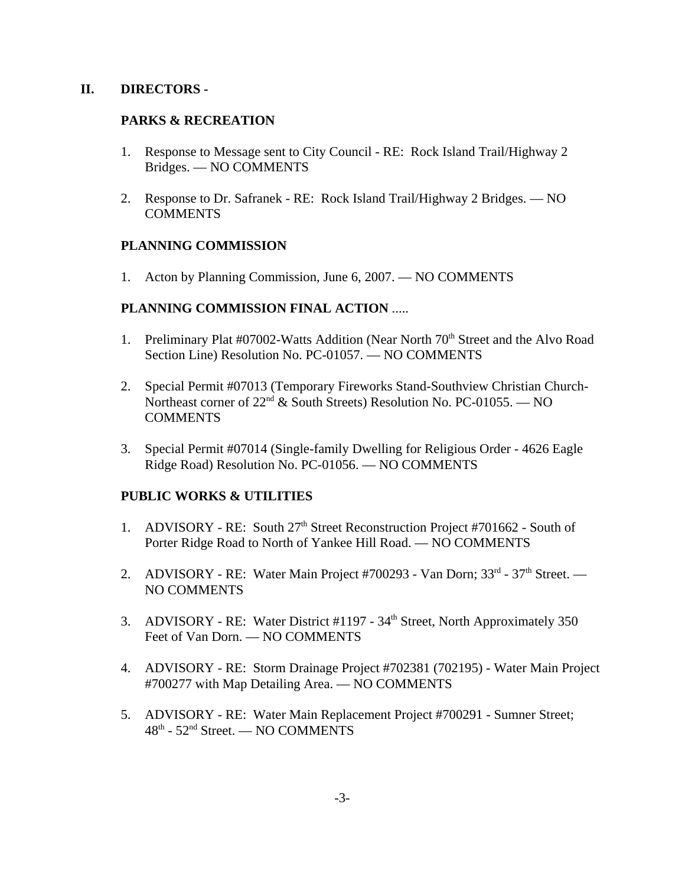### **II. DIRECTORS -**

### **PARKS & RECREATION**

- 1. Response to Message sent to City Council RE: Rock Island Trail/Highway 2 Bridges. — NO COMMENTS
- 2. Response to Dr. Safranek RE: Rock Island Trail/Highway 2 Bridges. NO COMMENTS

### **PLANNING COMMISSION**

1. Acton by Planning Commission, June 6, 2007. — NO COMMENTS

### **PLANNING COMMISSION FINAL ACTION** .....

- 1. Preliminary Plat #07002-Watts Addition (Near North 70<sup>th</sup> Street and the Alvo Road Section Line) Resolution No. PC-01057. — NO COMMENTS
- 2. Special Permit #07013 (Temporary Fireworks Stand-Southview Christian Church-Northeast corner of  $22<sup>nd</sup>$  & South Streets) Resolution No. PC-01055. — NO **COMMENTS**
- 3. Special Permit #07014 (Single-family Dwelling for Religious Order 4626 Eagle Ridge Road) Resolution No. PC-01056. — NO COMMENTS

## **PUBLIC WORKS & UTILITIES**

- 1. ADVISORY RE: South  $27<sup>th</sup>$  Street Reconstruction Project #701662 South of Porter Ridge Road to North of Yankee Hill Road. — NO COMMENTS
- 2. ADVISORY RE: Water Main Project #700293 Van Dorn; 33rd 37th Street. NO COMMENTS
- 3. ADVISORY RE: Water District #1197 34<sup>th</sup> Street, North Approximately 350 Feet of Van Dorn. — NO COMMENTS
- 4. ADVISORY RE: Storm Drainage Project #702381 (702195) Water Main Project #700277 with Map Detailing Area. — NO COMMENTS
- 5. ADVISORY RE: Water Main Replacement Project #700291 Sumner Street; 48th - 52nd Street. — NO COMMENTS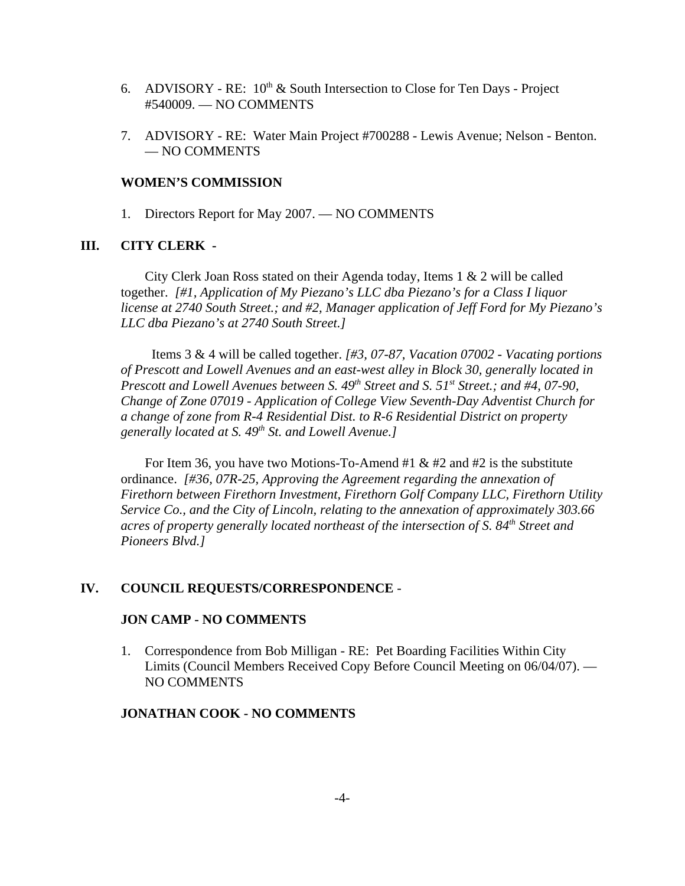- 6. ADVISORY RE:  $10^{th}$  & South Intersection to Close for Ten Days Project #540009. — NO COMMENTS
- 7. ADVISORY RE: Water Main Project #700288 Lewis Avenue; Nelson Benton. — NO COMMENTS

#### **WOMEN'S COMMISSION**

1. Directors Report for May 2007. — NO COMMENTS

#### **III. CITY CLERK -**

City Clerk Joan Ross stated on their Agenda today, Items 1 & 2 will be called together. *[#1, Application of My Piezano's LLC dba Piezano's for a Class I liquor license at 2740 South Street.; and #2, Manager application of Jeff Ford for My Piezano's LLC dba Piezano's at 2740 South Street.]*

Items 3 & 4 will be called together. *[#3, 07-87, Vacation 07002 - Vacating portions of Prescott and Lowell Avenues and an east-west alley in Block 30, generally located in Prescott and Lowell Avenues between S. 49<sup>th</sup> Street and S. 51<sup>st</sup> Street.; and #4, 07-90, Change of Zone 07019 - Application of College View Seventh-Day Adventist Church for a change of zone from R-4 Residential Dist. to R-6 Residential District on property generally located at S. 49th St. and Lowell Avenue.]* 

For Item 36, you have two Motions-To-Amend #1  $& 42$  and #2 is the substitute ordinance. *[#36, 07R-25, Approving the Agreement regarding the annexation of Firethorn between Firethorn Investment, Firethorn Golf Company LLC, Firethorn Utility Service Co., and the City of Lincoln, relating to the annexation of approximately 303.66 acres of property generally located northeast of the intersection of S. 84<sup>th</sup> Street and Pioneers Blvd.]* 

#### **IV. COUNCIL REQUESTS/CORRESPONDENCE** -

#### **JON CAMP - NO COMMENTS**

1. Correspondence from Bob Milligan - RE: Pet Boarding Facilities Within City Limits (Council Members Received Copy Before Council Meeting on 06/04/07). — NO COMMENTS

### **JONATHAN COOK - NO COMMENTS**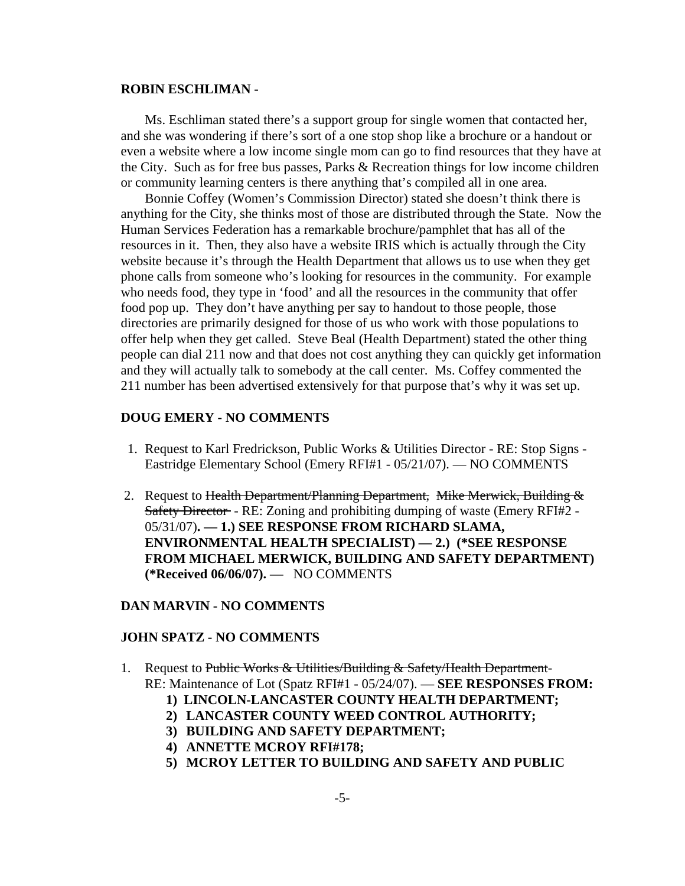#### **ROBIN ESCHLIMAN -**

Ms. Eschliman stated there's a support group for single women that contacted her, and she was wondering if there's sort of a one stop shop like a brochure or a handout or even a website where a low income single mom can go to find resources that they have at the City. Such as for free bus passes, Parks & Recreation things for low income children or community learning centers is there anything that's compiled all in one area.

Bonnie Coffey (Women's Commission Director) stated she doesn't think there is anything for the City, she thinks most of those are distributed through the State. Now the Human Services Federation has a remarkable brochure/pamphlet that has all of the resources in it. Then, they also have a website IRIS which is actually through the City website because it's through the Health Department that allows us to use when they get phone calls from someone who's looking for resources in the community. For example who needs food, they type in 'food' and all the resources in the community that offer food pop up. They don't have anything per say to handout to those people, those directories are primarily designed for those of us who work with those populations to offer help when they get called. Steve Beal (Health Department) stated the other thing people can dial 211 now and that does not cost anything they can quickly get information and they will actually talk to somebody at the call center. Ms. Coffey commented the 211 number has been advertised extensively for that purpose that's why it was set up.

#### **DOUG EMERY - NO COMMENTS**

- 1. Request to Karl Fredrickson, Public Works & Utilities Director RE: Stop Signs Eastridge Elementary School (Emery RFI#1 - 05/21/07). — NO COMMENTS
- 2. Request to Health Department/Planning Department, Mike Merwick, Building  $\&$ Safety Director - RE: Zoning and prohibiting dumping of waste (Emery RFI#2 - 05/31/07)**. — 1.) SEE RESPONSE FROM RICHARD SLAMA, ENVIRONMENTAL HEALTH SPECIALIST) — 2.) (\*SEE RESPONSE FROM MICHAEL MERWICK, BUILDING AND SAFETY DEPARTMENT) (\*Received 06/06/07). —** NO COMMENTS

#### **DAN MARVIN - NO COMMENTS**

#### **JOHN SPATZ - NO COMMENTS**

- 1. Request to Public Works & Utilities/Building  $\&$  Safety/Health Department-RE: Maintenance of Lot (Spatz RFI#1 - 05/24/07). — **SEE RESPONSES FROM:**
	- **1) LINCOLN-LANCASTER COUNTY HEALTH DEPARTMENT;**
	- **2) LANCASTER COUNTY WEED CONTROL AUTHORITY;**
	- **3) BUILDING AND SAFETY DEPARTMENT;**
	- **4) ANNETTE MCROY RFI#178;**
	- **5) MCROY LETTER TO BUILDING AND SAFETY AND PUBLIC**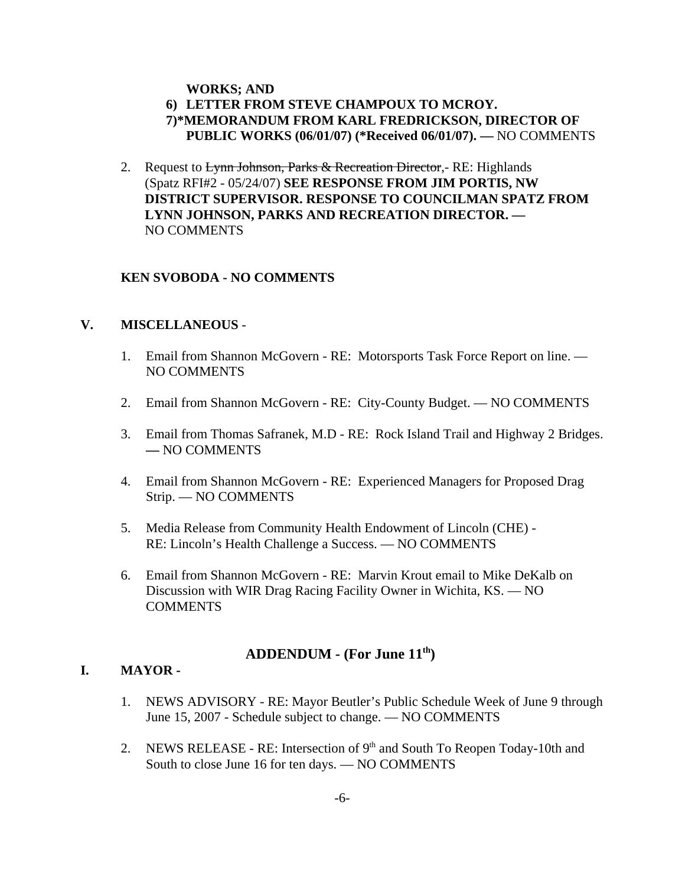### **WORKS; AND**

## **6) LETTER FROM STEVE CHAMPOUX TO MCROY. 7)\*MEMORANDUM FROM KARL FREDRICKSON, DIRECTOR OF PUBLIC WORKS (06/01/07) (\*Received 06/01/07). —** NO COMMENTS

2. Request to Lynn Johnson, Parks & Recreation Director, - RE: Highlands (Spatz RFI#2 - 05/24/07) **SEE RESPONSE FROM JIM PORTIS, NW DISTRICT SUPERVISOR. RESPONSE TO COUNCILMAN SPATZ FROM LYNN JOHNSON, PARKS AND RECREATION DIRECTOR. —** NO COMMENTS

### **KEN SVOBODA - NO COMMENTS**

#### **V. MISCELLANEOUS** -

- 1. Email from Shannon McGovern RE: Motorsports Task Force Report on line. NO COMMENTS
- 2. Email from Shannon McGovern RE: City-County Budget. NO COMMENTS
- 3. Email from Thomas Safranek, M.D RE: Rock Island Trail and Highway 2 Bridges. **—** NO COMMENTS
- 4. Email from Shannon McGovern RE: Experienced Managers for Proposed Drag Strip. — NO COMMENTS
- 5. Media Release from Community Health Endowment of Lincoln (CHE) RE: Lincoln's Health Challenge a Success. — NO COMMENTS
- 6. Email from Shannon McGovern RE: Marvin Krout email to Mike DeKalb on Discussion with WIR Drag Racing Facility Owner in Wichita, KS. — NO **COMMENTS**

### ADDENDUM - (For June 11<sup>th</sup>)

#### **I. MAYOR -**

- 1. NEWS ADVISORY RE: Mayor Beutler's Public Schedule Week of June 9 through June 15, 2007 - Schedule subject to change. — NO COMMENTS
- 2. NEWS RELEASE RE: Intersection of  $9<sup>th</sup>$  and South To Reopen Today-10th and South to close June 16 for ten days. — NO COMMENTS